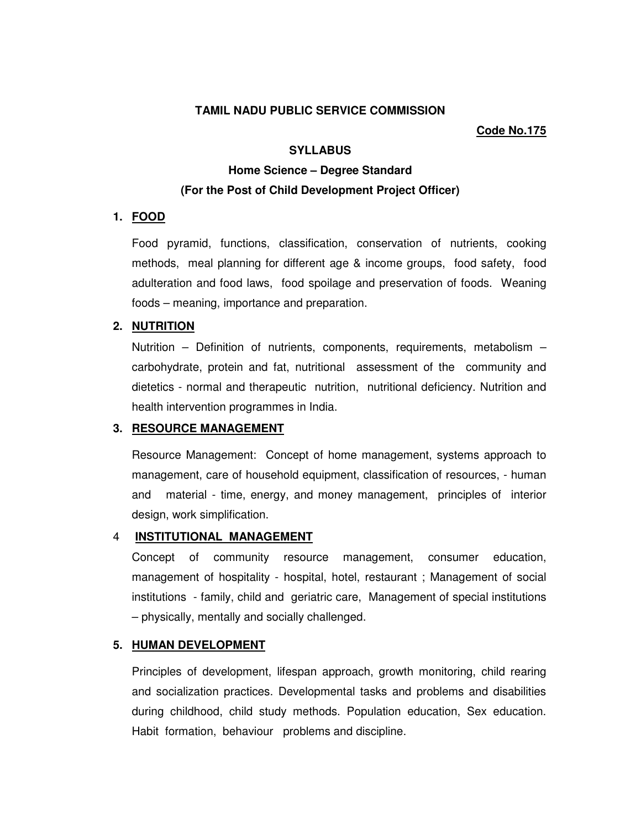#### **TAMIL NADU PUBLIC SERVICE COMMISSION**

#### **Code No.175**

## **SYLLABUS**

# **Home Science – Degree Standard (For the Post of Child Development Project Officer)**

### **1. FOOD**

Food pyramid, functions, classification, conservation of nutrients, cooking methods, meal planning for different age & income groups, food safety, food adulteration and food laws, food spoilage and preservation of foods. Weaning foods – meaning, importance and preparation.

#### **2. NUTRITION**

Nutrition – Definition of nutrients, components, requirements, metabolism – carbohydrate, protein and fat, nutritional assessment of the community and dietetics - normal and therapeutic nutrition, nutritional deficiency. Nutrition and health intervention programmes in India.

## **3. RESOURCE MANAGEMENT**

Resource Management: Concept of home management, systems approach to management, care of household equipment, classification of resources, - human and material - time, energy, and money management, principles of interior design, work simplification.

# 4 **INSTITUTIONAL MANAGEMENT**

Concept of community resource management, consumer education, management of hospitality - hospital, hotel, restaurant ; Management of social institutions - family, child and geriatric care, Management of special institutions – physically, mentally and socially challenged.

## **5. HUMAN DEVELOPMENT**

Principles of development, lifespan approach, growth monitoring, child rearing and socialization practices. Developmental tasks and problems and disabilities during childhood, child study methods. Population education, Sex education. Habit formation, behaviour problems and discipline.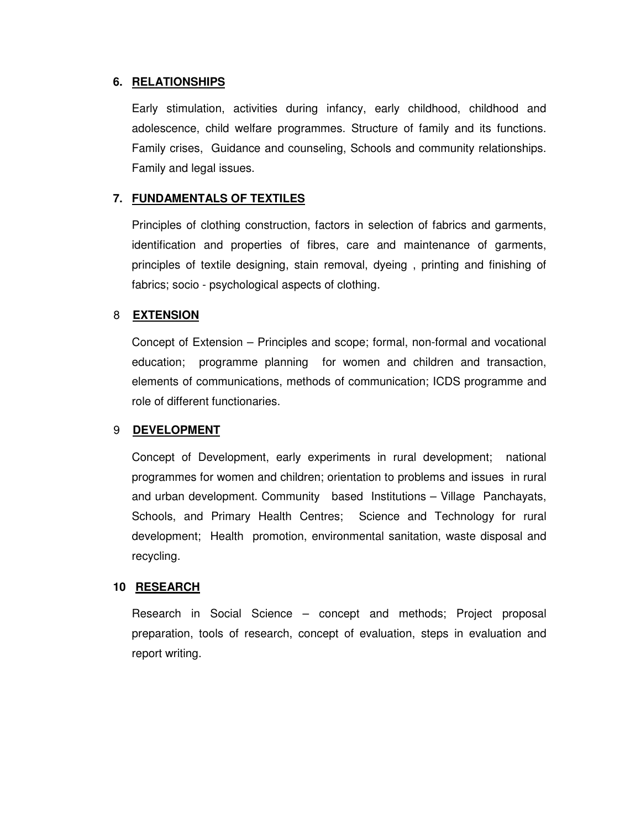# **6. RELATIONSHIPS**

Early stimulation, activities during infancy, early childhood, childhood and adolescence, child welfare programmes. Structure of family and its functions. Family crises, Guidance and counseling, Schools and community relationships. Family and legal issues.

# **7. FUNDAMENTALS OF TEXTILES**

Principles of clothing construction, factors in selection of fabrics and garments, identification and properties of fibres, care and maintenance of garments, principles of textile designing, stain removal, dyeing , printing and finishing of fabrics; socio - psychological aspects of clothing.

# 8 **EXTENSION**

Concept of Extension – Principles and scope; formal, non-formal and vocational education; programme planning for women and children and transaction, elements of communications, methods of communication; ICDS programme and role of different functionaries.

#### 9 **DEVELOPMENT**

Concept of Development, early experiments in rural development; national programmes for women and children; orientation to problems and issues in rural and urban development. Community based Institutions – Village Panchayats, Schools, and Primary Health Centres; Science and Technology for rural development; Health promotion, environmental sanitation, waste disposal and recycling.

#### **10 RESEARCH**

Research in Social Science – concept and methods; Project proposal preparation, tools of research, concept of evaluation, steps in evaluation and report writing.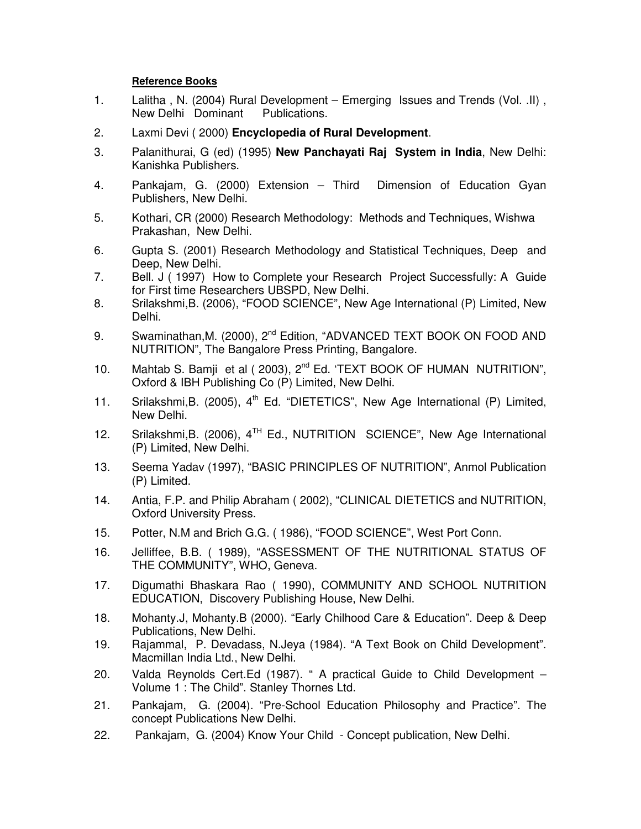# **Reference Books**

- 1. Lalitha , N. (2004) Rural Development Emerging Issues and Trends (Vol. .II) , New Delhi Dominant Publications.
- 2. Laxmi Devi ( 2000) **Encyclopedia of Rural Development**.
- 3. Palanithurai, G (ed) (1995) **New Panchayati Raj System in India**, New Delhi: Kanishka Publishers.
- 4. Pankajam, G. (2000) Extension Third Dimension of Education Gyan Publishers, New Delhi.
- 5. Kothari, CR (2000) Research Methodology: Methods and Techniques, Wishwa Prakashan, New Delhi.
- 6. Gupta S. (2001) Research Methodology and Statistical Techniques, Deep and Deep, New Delhi.<br>7. Bell. J ( 1997) Ho
- 7. Bell. J ( 1997) How to Complete your Research Project Successfully: A Guide for First time Researchers UBSPD, New Delhi.
- 8. Srilakshmi,B. (2006), "FOOD SCIENCE", New Age International (P) Limited, New Delhi.
- 9. Swaminathan, M. (2000), 2<sup>nd</sup> Edition, "ADVANCED TEXT BOOK ON FOOD AND NUTRITION", The Bangalore Press Printing, Bangalore.
- 10. Mahtab S. Bamii et al ( 2003), 2<sup>nd</sup> Ed. 'TEXT BOOK OF HUMAN NUTRITION", Oxford & IBH Publishing Co (P) Limited, New Delhi.
- 11. Srilakshmi, B. (2005),  $4<sup>th</sup>$  Ed. "DIETETICS", New Age International (P) Limited, New Delhi.
- 12. Srilakshmi, B. (2006),  $4^{TH}$  Ed., NUTRITION SCIENCE", New Age International (P) Limited, New Delhi.
- 13. Seema Yadav (1997), "BASIC PRINCIPLES OF NUTRITION", Anmol Publication (P) Limited.
- 14. Antia, F.P. and Philip Abraham ( 2002), "CLINICAL DIETETICS and NUTRITION, Oxford University Press.
- 15. Potter, N.M and Brich G.G. ( 1986), "FOOD SCIENCE", West Port Conn.
- 16. Jelliffee, B.B. ( 1989), "ASSESSMENT OF THE NUTRITIONAL STATUS OF THE COMMUNITY", WHO, Geneva.
- 17. Digumathi Bhaskara Rao ( 1990), COMMUNITY AND SCHOOL NUTRITION EDUCATION, Discovery Publishing House, New Delhi.
- 18. Mohanty.J, Mohanty.B (2000). "Early Chilhood Care & Education". Deep & Deep Publications, New Delhi.
- 19. Rajammal, P. Devadass, N.Jeya (1984). "A Text Book on Child Development". Macmillan India Ltd., New Delhi.
- 20. Valda Reynolds Cert.Ed (1987). " A practical Guide to Child Development Volume 1 : The Child". Stanley Thornes Ltd.
- 21. Pankajam, G. (2004). "Pre-School Education Philosophy and Practice". The concept Publications New Delhi.
- 22. Pankajam, G. (2004) Know Your Child Concept publication, New Delhi.